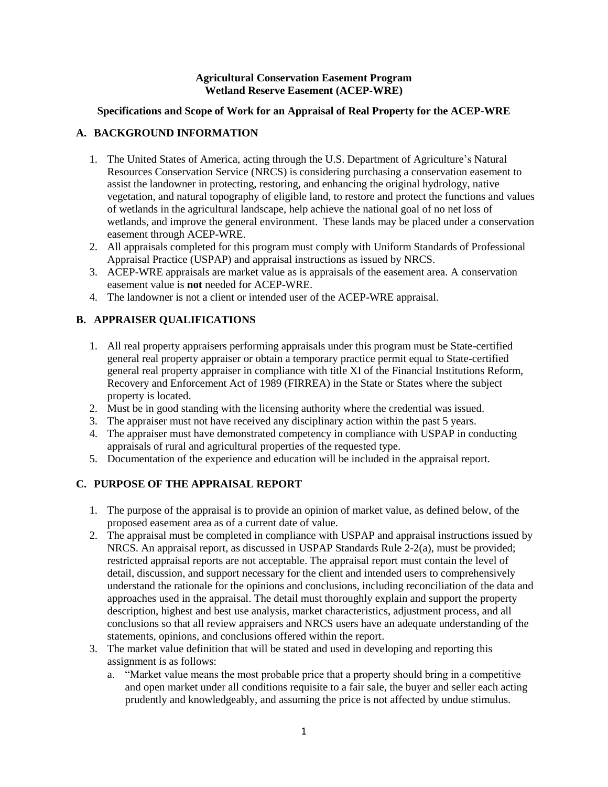### **Agricultural Conservation Easement Program Wetland Reserve Easement (ACEP-WRE)**

### **Specifications and Scope of Work for an Appraisal of Real Property for the ACEP-WRE**

## **A. BACKGROUND INFORMATION**

- 1. The United States of America, acting through the U.S. Department of Agriculture's Natural Resources Conservation Service (NRCS) is considering purchasing a conservation easement to assist the landowner in protecting, restoring, and enhancing the original hydrology, native vegetation, and natural topography of eligible land, to restore and protect the functions and values of wetlands in the agricultural landscape, help achieve the national goal of no net loss of wetlands, and improve the general environment. These lands may be placed under a conservation easement through ACEP-WRE.
- 2. All appraisals completed for this program must comply with Uniform Standards of Professional Appraisal Practice (USPAP) and appraisal instructions as issued by NRCS.
- 3. ACEP-WRE appraisals are market value as is appraisals of the easement area. A conservation easement value is **not** needed for ACEP-WRE.
- 4. The landowner is not a client or intended user of the ACEP-WRE appraisal.

# **B. APPRAISER QUALIFICATIONS**

- 1. All real property appraisers performing appraisals under this program must be State-certified general real property appraiser or obtain a temporary practice permit equal to State-certified general real property appraiser in compliance with title XI of the Financial Institutions Reform, Recovery and Enforcement Act of 1989 (FIRREA) in the State or States where the subject property is located.
- 2. Must be in good standing with the licensing authority where the credential was issued.
- 3. The appraiser must not have received any disciplinary action within the past 5 years.
- 4. The appraiser must have demonstrated competency in compliance with USPAP in conducting appraisals of rural and agricultural properties of the requested type.
- 5. Documentation of the experience and education will be included in the appraisal report.

# **C. PURPOSE OF THE APPRAISAL REPORT**

- 1. The purpose of the appraisal is to provide an opinion of market value, as defined below, of the proposed easement area as of a current date of value.
- 2. The appraisal must be completed in compliance with USPAP and appraisal instructions issued by NRCS. An appraisal report, as discussed in USPAP Standards Rule 2-2(a), must be provided; restricted appraisal reports are not acceptable. The appraisal report must contain the level of detail, discussion, and support necessary for the client and intended users to comprehensively understand the rationale for the opinions and conclusions, including reconciliation of the data and approaches used in the appraisal. The detail must thoroughly explain and support the property description, highest and best use analysis, market characteristics, adjustment process, and all conclusions so that all review appraisers and NRCS users have an adequate understanding of the statements, opinions, and conclusions offered within the report.
- 3. The market value definition that will be stated and used in developing and reporting this assignment is as follows:
	- a. "Market value means the most probable price that a property should bring in a competitive and open market under all conditions requisite to a fair sale, the buyer and seller each acting prudently and knowledgeably, and assuming the price is not affected by undue stimulus.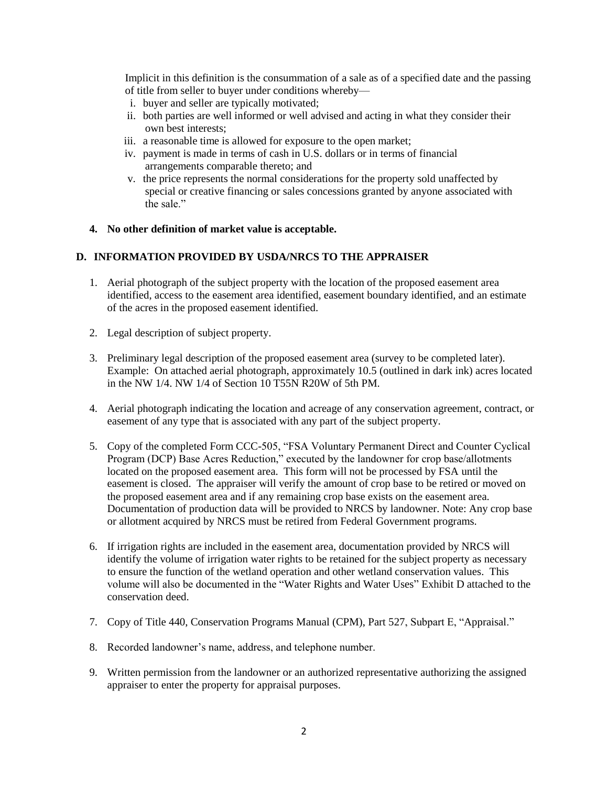Implicit in this definition is the consummation of a sale as of a specified date and the passing of title from seller to buyer under conditions whereby—

- i. buyer and seller are typically motivated;
- ii. both parties are well informed or well advised and acting in what they consider their own best interests;
- iii. a reasonable time is allowed for exposure to the open market;
- iv. payment is made in terms of cash in U.S. dollars or in terms of financial arrangements comparable thereto; and
- v. the price represents the normal considerations for the property sold unaffected by special or creative financing or sales concessions granted by anyone associated with the sale."

#### **4. No other definition of market value is acceptable.**

### **D. INFORMATION PROVIDED BY USDA/NRCS TO THE APPRAISER**

- 1. Aerial photograph of the subject property with the location of the proposed easement area identified, access to the easement area identified, easement boundary identified, and an estimate of the acres in the proposed easement identified.
- 2. Legal description of subject property.
- 3. Preliminary legal description of the proposed easement area (survey to be completed later). Example: On attached aerial photograph, approximately 10.5 (outlined in dark ink) acres located in the NW 1/4. NW 1/4 of Section 10 T55N R20W of 5th PM.
- 4. Aerial photograph indicating the location and acreage of any conservation agreement, contract, or easement of any type that is associated with any part of the subject property.
- 5. Copy of the completed Form CCC-505, "FSA Voluntary Permanent Direct and Counter Cyclical Program (DCP) Base Acres Reduction," executed by the landowner for crop base/allotments located on the proposed easement area. This form will not be processed by FSA until the easement is closed. The appraiser will verify the amount of crop base to be retired or moved on the proposed easement area and if any remaining crop base exists on the easement area. Documentation of production data will be provided to NRCS by landowner. Note: Any crop base or allotment acquired by NRCS must be retired from Federal Government programs.
- 6. If irrigation rights are included in the easement area, documentation provided by NRCS will identify the volume of irrigation water rights to be retained for the subject property as necessary to ensure the function of the wetland operation and other wetland conservation values. This volume will also be documented in the "Water Rights and Water Uses" Exhibit D attached to the conservation deed.
- 7. Copy of Title 440, Conservation Programs Manual (CPM), Part 527, Subpart E, "Appraisal."
- 8. Recorded landowner's name, address, and telephone number.
- 9. Written permission from the landowner or an authorized representative authorizing the assigned appraiser to enter the property for appraisal purposes.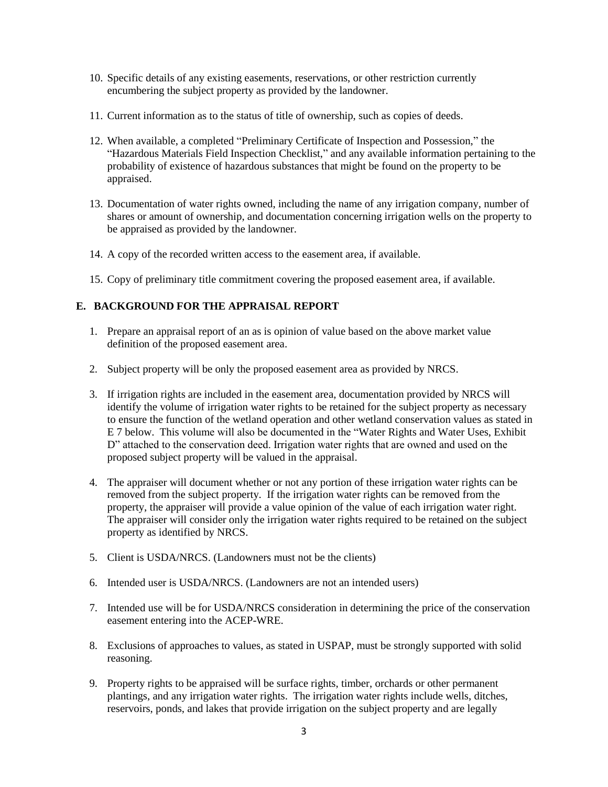- 10. Specific details of any existing easements, reservations, or other restriction currently encumbering the subject property as provided by the landowner.
- 11. Current information as to the status of title of ownership, such as copies of deeds.
- 12. When available, a completed "Preliminary Certificate of Inspection and Possession," the "Hazardous Materials Field Inspection Checklist," and any available information pertaining to the probability of existence of hazardous substances that might be found on the property to be appraised.
- 13. Documentation of water rights owned, including the name of any irrigation company, number of shares or amount of ownership, and documentation concerning irrigation wells on the property to be appraised as provided by the landowner.
- 14. A copy of the recorded written access to the easement area, if available.
- 15. Copy of preliminary title commitment covering the proposed easement area, if available.

## **E. BACKGROUND FOR THE APPRAISAL REPORT**

- 1. Prepare an appraisal report of an as is opinion of value based on the above market value definition of the proposed easement area.
- 2. Subject property will be only the proposed easement area as provided by NRCS.
- 3. If irrigation rights are included in the easement area, documentation provided by NRCS will identify the volume of irrigation water rights to be retained for the subject property as necessary to ensure the function of the wetland operation and other wetland conservation values as stated in E 7 below. This volume will also be documented in the "Water Rights and Water Uses, Exhibit D" attached to the conservation deed. Irrigation water rights that are owned and used on the proposed subject property will be valued in the appraisal.
- 4. The appraiser will document whether or not any portion of these irrigation water rights can be removed from the subject property. If the irrigation water rights can be removed from the property, the appraiser will provide a value opinion of the value of each irrigation water right. The appraiser will consider only the irrigation water rights required to be retained on the subject property as identified by NRCS.
- 5. Client is USDA/NRCS. (Landowners must not be the clients)
- 6. Intended user is USDA/NRCS. (Landowners are not an intended users)
- 7. Intended use will be for USDA/NRCS consideration in determining the price of the conservation easement entering into the ACEP-WRE.
- 8. Exclusions of approaches to values, as stated in USPAP, must be strongly supported with solid reasoning.
- 9. Property rights to be appraised will be surface rights, timber, orchards or other permanent plantings, and any irrigation water rights. The irrigation water rights include wells, ditches, reservoirs, ponds, and lakes that provide irrigation on the subject property and are legally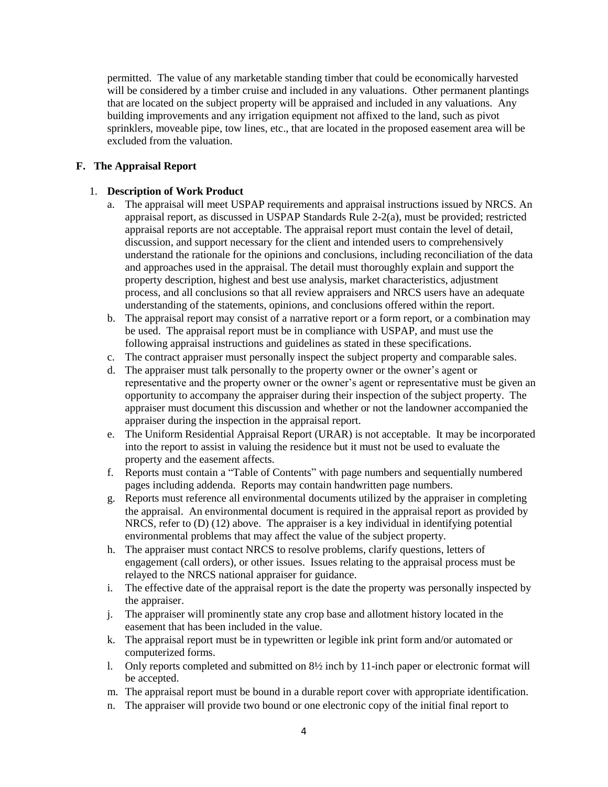permitted. The value of any marketable standing timber that could be economically harvested will be considered by a timber cruise and included in any valuations. Other permanent plantings that are located on the subject property will be appraised and included in any valuations. Any building improvements and any irrigation equipment not affixed to the land, such as pivot sprinklers, moveable pipe, tow lines, etc., that are located in the proposed easement area will be excluded from the valuation.

### **F. The Appraisal Report**

### 1. **Description of Work Product**

- a. The appraisal will meet USPAP requirements and appraisal instructions issued by NRCS. An appraisal report, as discussed in USPAP Standards Rule 2-2(a), must be provided; restricted appraisal reports are not acceptable. The appraisal report must contain the level of detail, discussion, and support necessary for the client and intended users to comprehensively understand the rationale for the opinions and conclusions, including reconciliation of the data and approaches used in the appraisal. The detail must thoroughly explain and support the property description, highest and best use analysis, market characteristics, adjustment process, and all conclusions so that all review appraisers and NRCS users have an adequate understanding of the statements, opinions, and conclusions offered within the report.
- b. The appraisal report may consist of a narrative report or a form report, or a combination may be used. The appraisal report must be in compliance with USPAP, and must use the following appraisal instructions and guidelines as stated in these specifications.
- c. The contract appraiser must personally inspect the subject property and comparable sales.
- d. The appraiser must talk personally to the property owner or the owner's agent or representative and the property owner or the owner's agent or representative must be given an opportunity to accompany the appraiser during their inspection of the subject property. The appraiser must document this discussion and whether or not the landowner accompanied the appraiser during the inspection in the appraisal report.
- e. The Uniform Residential Appraisal Report (URAR) is not acceptable. It may be incorporated into the report to assist in valuing the residence but it must not be used to evaluate the property and the easement affects.
- f. Reports must contain a "Table of Contents" with page numbers and sequentially numbered pages including addenda. Reports may contain handwritten page numbers.
- g. Reports must reference all environmental documents utilized by the appraiser in completing the appraisal. An environmental document is required in the appraisal report as provided by NRCS, refer to (D) (12) above. The appraiser is a key individual in identifying potential environmental problems that may affect the value of the subject property.
- h. The appraiser must contact NRCS to resolve problems, clarify questions, letters of engagement (call orders), or other issues. Issues relating to the appraisal process must be relayed to the NRCS national appraiser for guidance.
- i. The effective date of the appraisal report is the date the property was personally inspected by the appraiser.
- j. The appraiser will prominently state any crop base and allotment history located in the easement that has been included in the value.
- k. The appraisal report must be in typewritten or legible ink print form and/or automated or computerized forms.
- l. Only reports completed and submitted on 8½ inch by 11-inch paper or electronic format will be accepted.
- m. The appraisal report must be bound in a durable report cover with appropriate identification.
- n. The appraiser will provide two bound or one electronic copy of the initial final report to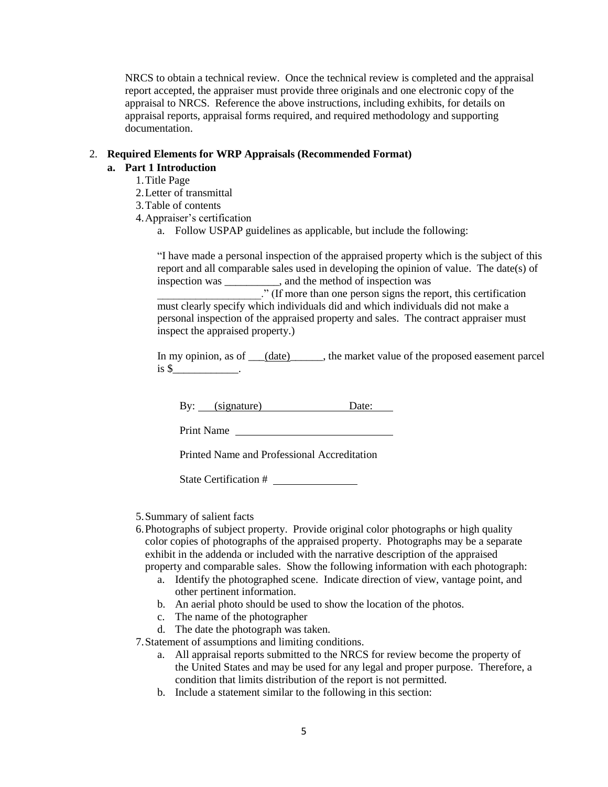NRCS to obtain a technical review. Once the technical review is completed and the appraisal report accepted, the appraiser must provide three originals and one electronic copy of the appraisal to NRCS. Reference the above instructions, including exhibits, for details on appraisal reports, appraisal forms required, and required methodology and supporting documentation.

#### 2. **Required Elements for WRP Appraisals (Recommended Format)**

#### **a. Part 1 Introduction**

- 1.Title Page
- 2.Letter of transmittal
- 3.Table of contents
- 4.Appraiser's certification
	- a. Follow USPAP guidelines as applicable, but include the following:

"I have made a personal inspection of the appraised property which is the subject of this report and all comparable sales used in developing the opinion of value. The date(s) of inspection was \_\_\_\_\_\_\_\_\_\_, and the method of inspection was \_\_\_\_\_\_\_\_\_\_\_\_\_\_\_\_\_\_\_." (If more than one person signs the report, this certification

must clearly specify which individuals did and which individuals did not make a personal inspection of the appraised property and sales. The contract appraiser must inspect the appraised property.)

In my opinion, as of (date), the market value of the proposed easement parcel  $is$  \$\_\_\_\_\_\_\_\_\_\_\_\_\_\_.

By: (signature) Date:

Print Name

Printed Name and Professional Accreditation

State Certification #

- 5.Summary of salient facts
- 6.Photographs of subject property. Provide original color photographs or high quality color copies of photographs of the appraised property. Photographs may be a separate exhibit in the addenda or included with the narrative description of the appraised property and comparable sales. Show the following information with each photograph:
	- a. Identify the photographed scene. Indicate direction of view, vantage point, and other pertinent information.
	- b. An aerial photo should be used to show the location of the photos.
	- c. The name of the photographer
	- d. The date the photograph was taken.

7.Statement of assumptions and limiting conditions.

- a. All appraisal reports submitted to the NRCS for review become the property of the United States and may be used for any legal and proper purpose. Therefore, a condition that limits distribution of the report is not permitted.
- b. Include a statement similar to the following in this section: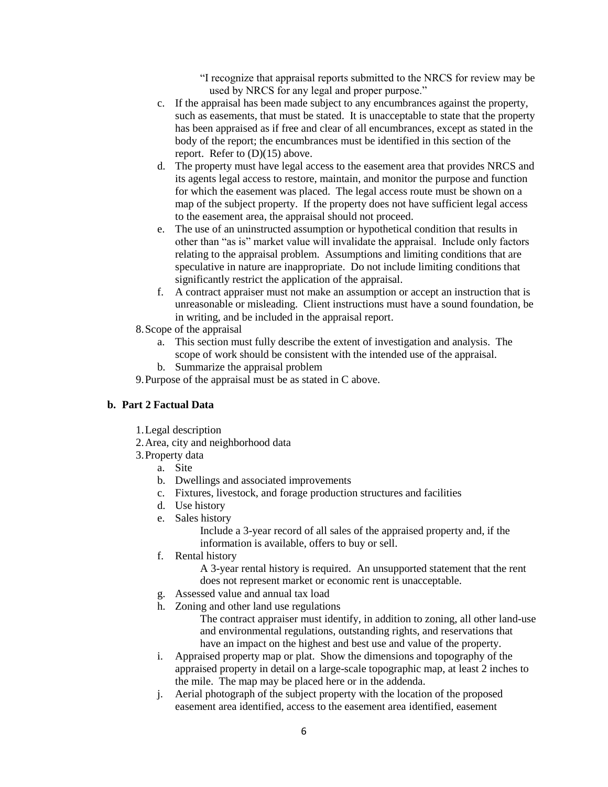"I recognize that appraisal reports submitted to the NRCS for review may be used by NRCS for any legal and proper purpose."

- c. If the appraisal has been made subject to any encumbrances against the property, such as easements, that must be stated. It is unacceptable to state that the property has been appraised as if free and clear of all encumbrances, except as stated in the body of the report; the encumbrances must be identified in this section of the report. Refer to (D)(15) above.
- d. The property must have legal access to the easement area that provides NRCS and its agents legal access to restore, maintain, and monitor the purpose and function for which the easement was placed. The legal access route must be shown on a map of the subject property. If the property does not have sufficient legal access to the easement area, the appraisal should not proceed.
- e. The use of an uninstructed assumption or hypothetical condition that results in other than "as is" market value will invalidate the appraisal. Include only factors relating to the appraisal problem. Assumptions and limiting conditions that are speculative in nature are inappropriate. Do not include limiting conditions that significantly restrict the application of the appraisal.
- f. A contract appraiser must not make an assumption or accept an instruction that is unreasonable or misleading. Client instructions must have a sound foundation, be in writing, and be included in the appraisal report.
- 8.Scope of the appraisal
	- a. This section must fully describe the extent of investigation and analysis. The scope of work should be consistent with the intended use of the appraisal.
	- b. Summarize the appraisal problem
- 9.Purpose of the appraisal must be as stated in C above.

### **b. Part 2 Factual Data**

- 1.Legal description
- 2.Area, city and neighborhood data
- 3.Property data
	- a. Site
		- b. Dwellings and associated improvements
		- c. Fixtures, livestock, and forage production structures and facilities
		- d. Use history
		- e. Sales history

Include a 3-year record of all sales of the appraised property and, if the information is available, offers to buy or sell.

f. Rental history

A 3-year rental history is required. An unsupported statement that the rent does not represent market or economic rent is unacceptable.

- g. Assessed value and annual tax load
- h. Zoning and other land use regulations

The contract appraiser must identify, in addition to zoning, all other land-use and environmental regulations, outstanding rights, and reservations that have an impact on the highest and best use and value of the property.

- i. Appraised property map or plat. Show the dimensions and topography of the appraised property in detail on a large-scale topographic map, at least 2 inches to the mile. The map may be placed here or in the addenda.
- j. Aerial photograph of the subject property with the location of the proposed easement area identified, access to the easement area identified, easement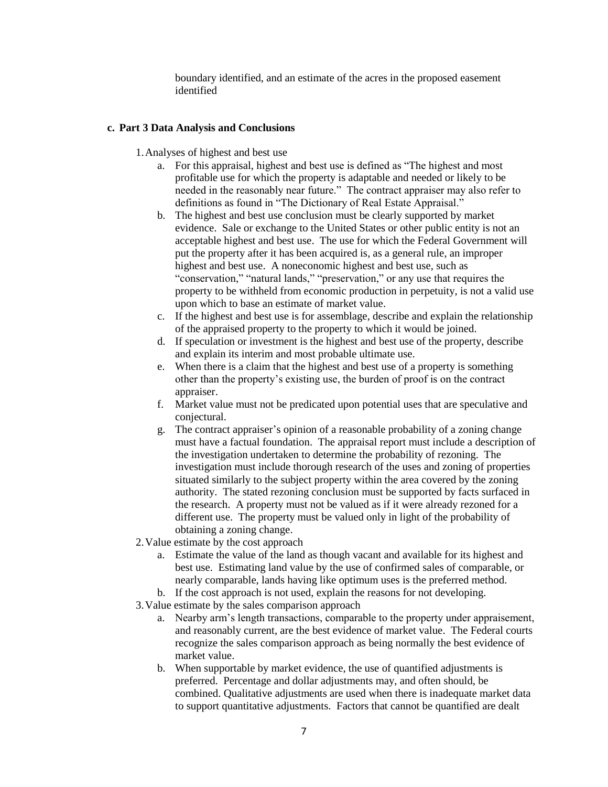boundary identified, and an estimate of the acres in the proposed easement identified

#### **c. Part 3 Data Analysis and Conclusions**

- 1.Analyses of highest and best use
	- a. For this appraisal, highest and best use is defined as "The highest and most profitable use for which the property is adaptable and needed or likely to be needed in the reasonably near future." The contract appraiser may also refer to definitions as found in "The Dictionary of Real Estate Appraisal."
	- b. The highest and best use conclusion must be clearly supported by market evidence.Sale or exchange to the United States or other public entity is not an acceptable highest and best use. The use for which the Federal Government will put the property after it has been acquired is, as a general rule, an improper highest and best use. A noneconomic highest and best use, such as "conservation," "natural lands," "preservation," or any use that requires the property to be withheld from economic production in perpetuity, is not a valid use upon which to base an estimate of market value.
	- c. If the highest and best use is for assemblage, describe and explain the relationship of the appraised property to the property to which it would be joined.
	- d. If speculation or investment is the highest and best use of the property, describe and explain its interim and most probable ultimate use.
	- e. When there is a claim that the highest and best use of a property is something other than the property's existing use, the burden of proof is on the contract appraiser.
	- f. Market value must not be predicated upon potential uses that are speculative and conjectural.
	- g. The contract appraiser's opinion of a reasonable probability of a zoning change must have a factual foundation. The appraisal report must include a description of the investigation undertaken to determine the probability of rezoning. The investigation must include thorough research of the uses and zoning of properties situated similarly to the subject property within the area covered by the zoning authority. The stated rezoning conclusion must be supported by facts surfaced in the research. A property must not be valued as if it were already rezoned for a different use. The property must be valued only in light of the probability of obtaining a zoning change.
- 2.Value estimate by the cost approach
	- a. Estimate the value of the land as though vacant and available for its highest and best use. Estimating land value by the use of confirmed sales of comparable, or nearly comparable, lands having like optimum uses is the preferred method.
	- b. If the cost approach is not used, explain the reasons for not developing.
- 3.Value estimate by the sales comparison approach
	- a. Nearby arm's length transactions, comparable to the property under appraisement, and reasonably current, are the best evidence of market value. The Federal courts recognize the sales comparison approach as being normally the best evidence of market value.
	- b. When supportable by market evidence, the use of quantified adjustments is preferred. Percentage and dollar adjustments may, and often should, be combined. Qualitative adjustments are used when there is inadequate market data to support quantitative adjustments. Factors that cannot be quantified are dealt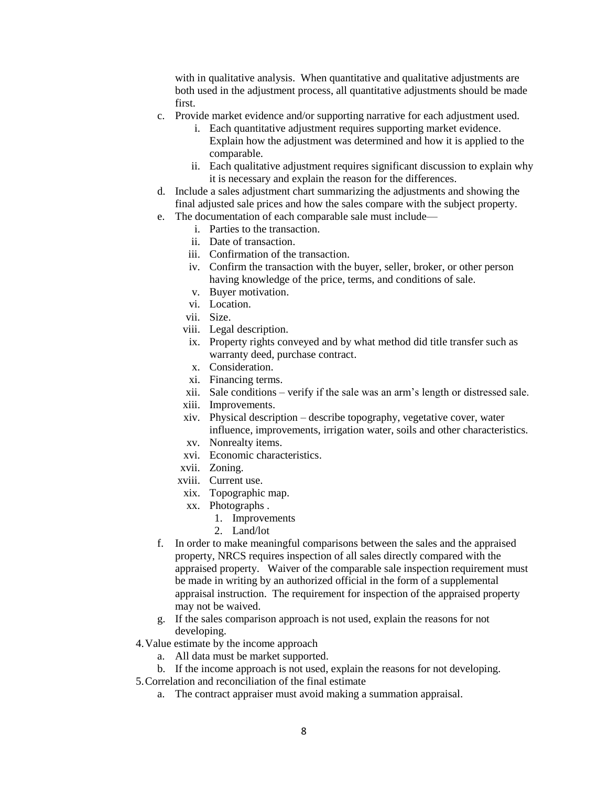with in qualitative analysis. When quantitative and qualitative adjustments are both used in the adjustment process, all quantitative adjustments should be made first.

- c. Provide market evidence and/or supporting narrative for each adjustment used.
	- i. Each quantitative adjustment requires supporting market evidence. Explain how the adjustment was determined and how it is applied to the comparable.
	- ii. Each qualitative adjustment requires significant discussion to explain why it is necessary and explain the reason for the differences.
- d. Include a sales adjustment chart summarizing the adjustments and showing the final adjusted sale prices and how the sales compare with the subject property.
- e. The documentation of each comparable sale must include
	- i. Parties to the transaction.
	- ii. Date of transaction.
	- iii. Confirmation of the transaction.
	- iv. Confirm the transaction with the buyer, seller, broker, or other person having knowledge of the price, terms, and conditions of sale.
	- v. Buyer motivation.
	- vi. Location.
	- vii. Size.
	- viii. Legal description.
	- ix. Property rights conveyed and by what method did title transfer such as warranty deed, purchase contract.
	- x. Consideration.
	- xi. Financing terms.
	- xii. Sale conditions verify if the sale was an arm's length or distressed sale.
	- xiii. Improvements.
	- xiv. Physical description describe topography, vegetative cover, water influence, improvements, irrigation water, soils and other characteristics.
	- xv. Nonrealty items.
	- xvi. Economic characteristics.
	- xvii. Zoning.
	- xviii. Current use.
	- xix. Topographic map.
	- xx. Photographs .
		- 1. Improvements
		- 2. Land/lot
- f. In order to make meaningful comparisons between the sales and the appraised property, NRCS requires inspection of all sales directly compared with the appraised property. Waiver of the comparable sale inspection requirement must be made in writing by an authorized official in the form of a supplemental appraisal instruction. The requirement for inspection of the appraised property may not be waived.
- g. If the sales comparison approach is not used, explain the reasons for not developing.
- 4.Value estimate by the income approach
	- a. All data must be market supported.
	- b. If the income approach is not used, explain the reasons for not developing.
- 5.Correlation and reconciliation of the final estimate
	- a. The contract appraiser must avoid making a summation appraisal.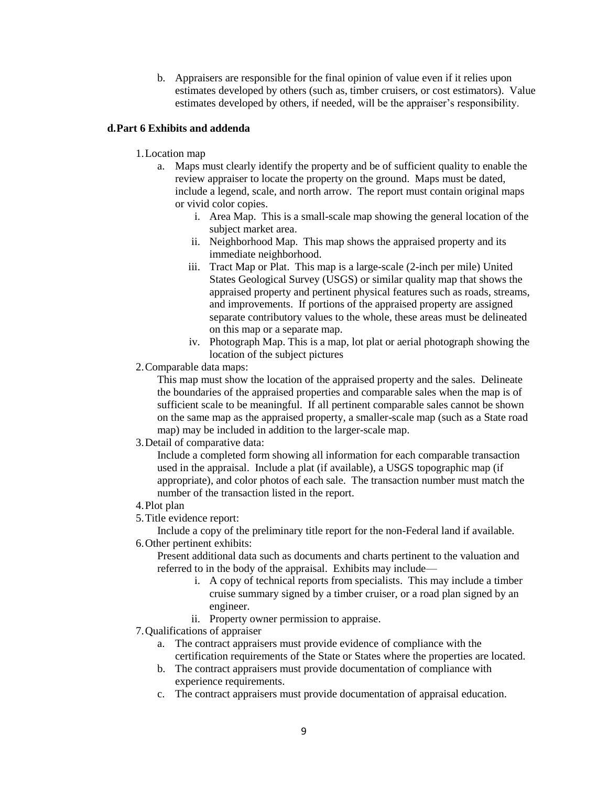b. Appraisers are responsible for the final opinion of value even if it relies upon estimates developed by others (such as, timber cruisers, or cost estimators). Value estimates developed by others, if needed, will be the appraiser's responsibility.

### **d.Part 6 Exhibits and addenda**

### 1.Location map

- a. Maps must clearly identify the property and be of sufficient quality to enable the review appraiser to locate the property on the ground. Maps must be dated, include a legend, scale, and north arrow. The report must contain original maps or vivid color copies.
	- i. Area Map. This is a small-scale map showing the general location of the subject market area.
	- ii. Neighborhood Map. This map shows the appraised property and its immediate neighborhood.
	- iii. Tract Map or Plat. This map is a large-scale (2-inch per mile) United States Geological Survey (USGS) or similar quality map that shows the appraised property and pertinent physical features such as roads, streams, and improvements. If portions of the appraised property are assigned separate contributory values to the whole, these areas must be delineated on this map or a separate map.
	- iv. Photograph Map. This is a map, lot plat or aerial photograph showing the location of the subject pictures
- 2.Comparable data maps:

This map must show the location of the appraised property and the sales. Delineate the boundaries of the appraised properties and comparable sales when the map is of sufficient scale to be meaningful. If all pertinent comparable sales cannot be shown on the same map as the appraised property, a smaller-scale map (such as a State road map) may be included in addition to the larger-scale map.

### 3.Detail of comparative data:

Include a completed form showing all information for each comparable transaction used in the appraisal. Include a plat (if available), a USGS topographic map (if appropriate), and color photos of each sale. The transaction number must match the number of the transaction listed in the report.

### 4.Plot plan

5.Title evidence report:

Include a copy of the preliminary title report for the non-Federal land if available. 6.Other pertinent exhibits:

Present additional data such as documents and charts pertinent to the valuation and referred to in the body of the appraisal. Exhibits may include—

- i. A copy of technical reports from specialists. This may include a timber cruise summary signed by a timber cruiser, or a road plan signed by an engineer.
- ii. Property owner permission to appraise.
- 7.Qualifications of appraiser
	- a. The contract appraisers must provide evidence of compliance with the certification requirements of the State or States where the properties are located.
	- b. The contract appraisers must provide documentation of compliance with experience requirements.
	- c. The contract appraisers must provide documentation of appraisal education.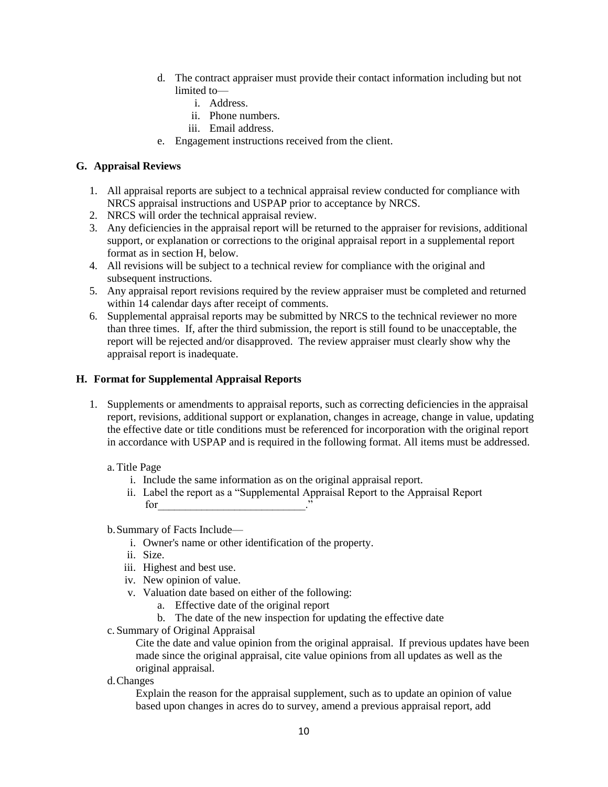- d. The contract appraiser must provide their contact information including but not limited to
	- i. Address.
	- ii. Phone numbers.
	- iii. Email address.
- e. Engagement instructions received from the client.

#### **G. Appraisal Reviews**

- 1. All appraisal reports are subject to a technical appraisal review conducted for compliance with NRCS appraisal instructions and USPAP prior to acceptance by NRCS.
- 2. NRCS will order the technical appraisal review.
- 3. Any deficiencies in the appraisal report will be returned to the appraiser for revisions, additional support, or explanation or corrections to the original appraisal report in a supplemental report format as in section H, below.
- 4. All revisions will be subject to a technical review for compliance with the original and subsequent instructions.
- 5. Any appraisal report revisions required by the review appraiser must be completed and returned within 14 calendar days after receipt of comments.
- 6. Supplemental appraisal reports may be submitted by NRCS to the technical reviewer no more than three times. If, after the third submission, the report is still found to be unacceptable, the report will be rejected and/or disapproved. The review appraiser must clearly show why the appraisal report is inadequate.

#### **H. Format for Supplemental Appraisal Reports**

1. Supplements or amendments to appraisal reports, such as correcting deficiencies in the appraisal report, revisions, additional support or explanation, changes in acreage, change in value, updating the effective date or title conditions must be referenced for incorporation with the original report in accordance with USPAP and is required in the following format. All items must be addressed.

### a.Title Page

- i. Include the same information as on the original appraisal report.
- ii. Label the report as a "Supplemental Appraisal Report to the Appraisal Report for  $\overline{\phantom{a}}$ .

#### b.Summary of Facts Include—

- i. Owner's name or other identification of the property.
- ii. Size.
- iii. Highest and best use.
- iv. New opinion of value.
- v. Valuation date based on either of the following:
	- a. Effective date of the original report
	- b. The date of the new inspection for updating the effective date
- c. Summary of Original Appraisal

Cite the date and value opinion from the original appraisal. If previous updates have been made since the original appraisal, cite value opinions from all updates as well as the original appraisal.

d.Changes

Explain the reason for the appraisal supplement, such as to update an opinion of value based upon changes in acres do to survey, amend a previous appraisal report, add